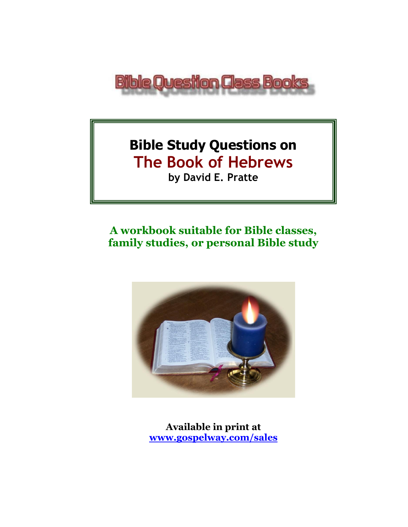

# **Bible Study Questions on The Book of Hebrews by David E. Pratte**

# **A workbook suitable for Bible classes, family studies, or personal Bible study**



**Available in print at [www.gospelway.com/sales](https://www.gospelway.com/sales)**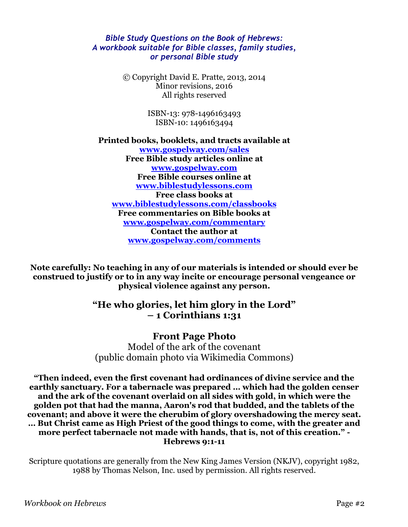#### *Bible Study Questions on the Book of Hebrews: A workbook suitable for Bible classes, family studies, or personal Bible study*

© Copyright David E. Pratte, 2013, 2014 Minor revisions, 2016 All rights reserved

> ISBN-13: 978-1496163493 ISBN-10: 1496163494

**Printed books, booklets, and tracts available at [www.gospelway.com/sales](https://www.gospelway.com/sales) Free Bible study articles online at [www.gospelway.com](http://www.gospelway.com/) Free Bible courses online at [www.biblestudylessons.com](http://www.biblestudylessons.com/) Free class books at [www.biblestudylessons.com/classbooks](http://www.biblestudylessons.com/classbooks) Free commentaries on Bible books at [www.gospelway.com/commentary](http://www.gospelway.com/commentary) Contact the author at [www.gospelway.com/comments](http://www.gospelway.com/comments)**

**Note carefully: No teaching in any of our materials is intended or should ever be construed to justify or to in any way incite or encourage personal vengeance or physical violence against any person.**

#### **"He who glories, let him glory in the Lord" – 1 Corinthians 1:31**

#### **Front Page Photo**

Model of the ark of the covenant (public domain photo via Wikimedia Commons)

**"Then indeed, even the first covenant had ordinances of divine service and the earthly sanctuary. For a tabernacle was prepared … which had the golden censer and the ark of the covenant overlaid on all sides with gold, in which were the golden pot that had the manna, Aaron's rod that budded, and the tablets of the covenant; and above it were the cherubim of glory overshadowing the mercy seat. … But Christ came as High Priest of the good things to come, with the greater and more perfect tabernacle not made with hands, that is, not of this creation." - Hebrews 9:1-11**

Scripture quotations are generally from the New King James Version (NKJV), copyright 1982, 1988 by Thomas Nelson, Inc. used by permission. All rights reserved.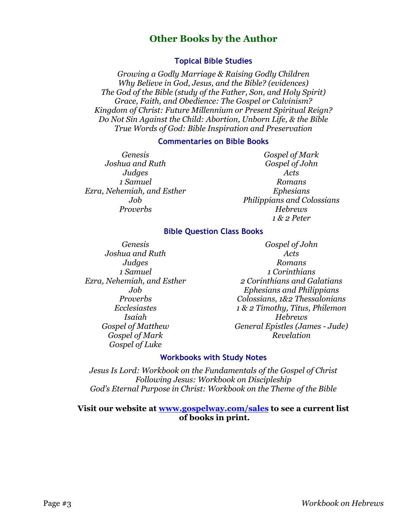#### **Other Books by the Author**

#### **Topical Bible Studies**

*Growing a Godly Marriage & Raising Godly Children Why Believe in God, Jesus, and the Bible? (evidences) The God of the Bible (study of the Father, Son, and Holy Spirit) Grace, Faith, and Obedience: The Gospel or Calvinism? Kingdom of Christ: Future Millennium or Present Spiritual Reign? Do Not Sin Against the Child: Abortion, Unborn Life, & the Bible True Words of God: Bible Inspiration and Preservation*

#### **Commentaries on Bible Books**

*Genesis Joshua and Ruth Judges 1 Samuel Ezra, Nehemiah, and Esther Job Proverbs*

*Gospel of Mark Gospel of John Acts Romans Ephesians Philippians and Colossians Hebrews 1 & 2 Peter*

#### **Bible Question Class Books**

*Genesis Joshua and Ruth Judges 1 Samuel Ezra, Nehemiah, and Esther Job Proverbs Ecclesiastes Isaiah Gospel of Matthew Gospel of Mark Gospel of Luke*

*Gospel of John Acts Romans 1 Corinthians 2 Corinthians and Galatians Ephesians and Philippians Colossians, 1&2 Thessalonians 1 & 2 Timothy, Titus, Philemon Hebrews General Epistles (James - Jude) Revelation*

#### **Workbooks with Study Notes**

*Jesus Is Lord: Workbook on the Fundamentals of the Gospel of Christ Following Jesus: Workbook on Discipleship God's Eternal Purpose in Christ: Workbook on the Theme of the Bible*

#### **Visit our website at [www.gospelway.com/sales](https://www.gospelway.com/sales) to see a current list of books in print.**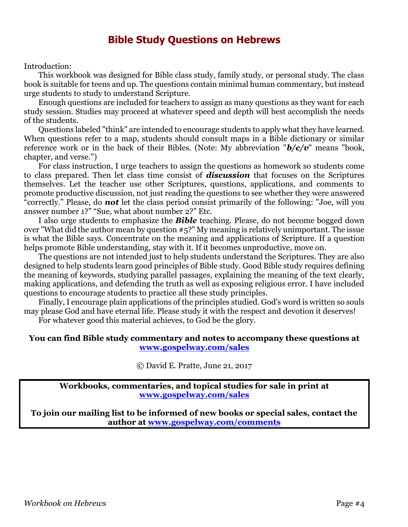### **Bible Study Questions on Hebrews**

Introduction:

This workbook was designed for Bible class study, family study, or personal study. The class book is suitable for teens and up. The questions contain minimal human commentary, but instead urge students to study to understand Scripture.

Enough questions are included for teachers to assign as many questions as they want for each study session. Studies may proceed at whatever speed and depth will best accomplish the needs of the students.

Questions labeled "think" are intended to encourage students to apply what they have learned. When questions refer to a map, students should consult maps in a Bible dictionary or similar reference work or in the back of their Bibles. (Note: My abbreviation "*b/c/v*" means "book, chapter, and verse.")

For class instruction, I urge teachers to assign the questions as homework so students come to class prepared. Then let class time consist of *discussion* that focuses on the Scriptures themselves. Let the teacher use other Scriptures, questions, applications, and comments to promote productive discussion, not just reading the questions to see whether they were answered "correctly." Please, do *not* let the class period consist primarily of the following: "Joe, will you answer number 1?" "Sue, what about number 2?" Etc.

I also urge students to emphasize the *Bible* teaching. Please, do not become bogged down over "What did the author mean by question #5?" My meaning is relatively unimportant. The issue is what the Bible says. Concentrate on the meaning and applications of Scripture. If a question helps promote Bible understanding, stay with it. If it becomes unproductive, move on.

The questions are not intended just to help students understand the Scriptures. They are also designed to help students learn good principles of Bible study. Good Bible study requires defining the meaning of keywords, studying parallel passages, explaining the meaning of the text clearly, making applications, and defending the truth as well as exposing religious error. I have included questions to encourage students to practice all these study principles.

Finally, I encourage plain applications of the principles studied. God's word is written so souls may please God and have eternal life. Please study it with the respect and devotion it deserves!

For whatever good this material achieves, to God be the glory.

#### **You can find Bible study commentary and notes to accompany these questions at [www.gospelway.com/sales](https://www.gospelway.com/sales)**

© David E. Pratte, June 21, 2017

**Workbooks, commentaries, and topical studies for sale in print at [www.gospelway.com/sales](https://www.gospelway.com/sales)**

**To join our mailing list to be informed of new books or special sales, contact the author at [www.gospelway.com/comments](http://www.gospelway.com/comments)**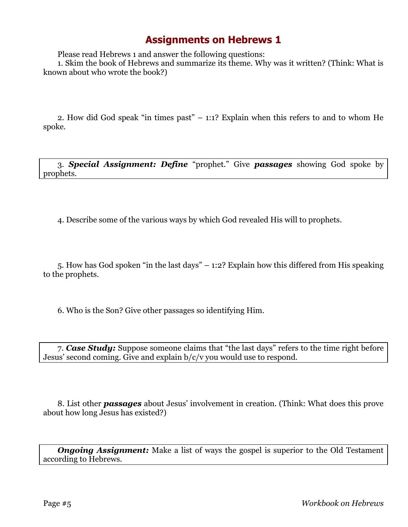Please read Hebrews 1 and answer the following questions:

1. Skim the book of Hebrews and summarize its theme. Why was it written? (Think: What is known about who wrote the book?)

2. How did God speak "in times past" – 1:1? Explain when this refers to and to whom He spoke.

3. *Special Assignment: Define* "prophet." Give *passages* showing God spoke by prophets.

4. Describe some of the various ways by which God revealed His will to prophets.

5. How has God spoken "in the last days" – 1:2? Explain how this differed from His speaking to the prophets.

6. Who is the Son? Give other passages so identifying Him.

7. *Case Study:* Suppose someone claims that "the last days" refers to the time right before Jesus' second coming. Give and explain b/c/v you would use to respond.

8. List other *passages* about Jesus' involvement in creation. (Think: What does this prove about how long Jesus has existed?)

*Ongoing Assignment:* Make a list of ways the gospel is superior to the Old Testament according to Hebrews.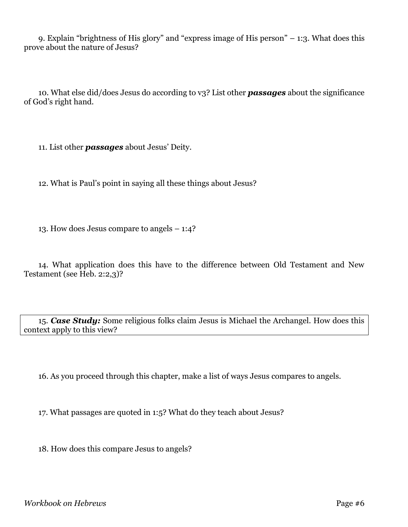9. Explain "brightness of His glory" and "express image of His person" – 1:3. What does this prove about the nature of Jesus?

10. What else did/does Jesus do according to v3? List other *passages* about the significance of God's right hand.

11. List other *passages* about Jesus' Deity.

12. What is Paul's point in saying all these things about Jesus?

13. How does Jesus compare to angels – 1:4?

14. What application does this have to the difference between Old Testament and New Testament (see Heb. 2:2,3)?

15. *Case Study:* Some religious folks claim Jesus is Michael the Archangel. How does this context apply to this view?

16. As you proceed through this chapter, make a list of ways Jesus compares to angels.

17. What passages are quoted in 1:5? What do they teach about Jesus?

18. How does this compare Jesus to angels?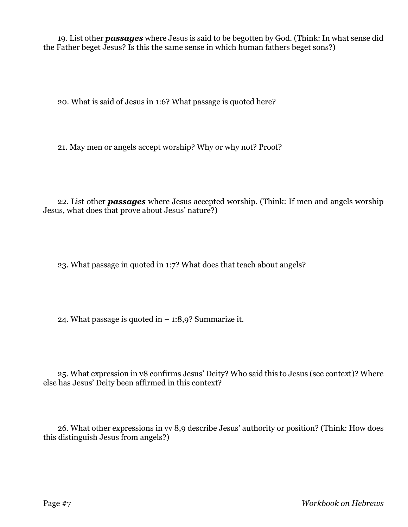19. List other *passages* where Jesus is said to be begotten by God. (Think: In what sense did the Father beget Jesus? Is this the same sense in which human fathers beget sons?)

20. What is said of Jesus in 1:6? What passage is quoted here?

21. May men or angels accept worship? Why or why not? Proof?

22. List other *passages* where Jesus accepted worship. (Think: If men and angels worship Jesus, what does that prove about Jesus' nature?)

23. What passage in quoted in 1:7? What does that teach about angels?

24. What passage is quoted in  $-$  1:8,9? Summarize it.

25. What expression in v8 confirms Jesus' Deity? Who said this to Jesus (see context)? Where else has Jesus' Deity been affirmed in this context?

26. What other expressions in vv 8,9 describe Jesus' authority or position? (Think: How does this distinguish Jesus from angels?)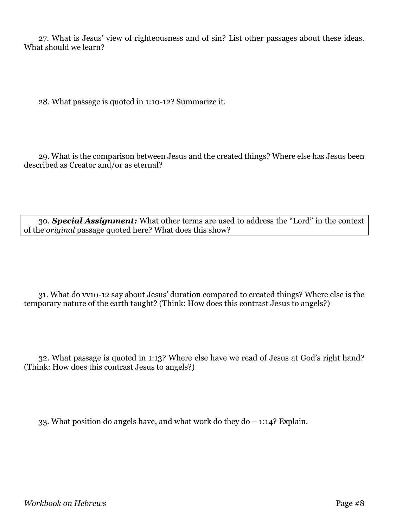27. What is Jesus' view of righteousness and of sin? List other passages about these ideas. What should we learn?

28. What passage is quoted in 1:10-12? Summarize it.

29. What is the comparison between Jesus and the created things? Where else has Jesus been described as Creator and/or as eternal?

30. *Special Assignment:* What other terms are used to address the "Lord" in the context of the *original* passage quoted here? What does this show?

31. What do vv10-12 say about Jesus' duration compared to created things? Where else is the temporary nature of the earth taught? (Think: How does this contrast Jesus to angels?)

32. What passage is quoted in 1:13? Where else have we read of Jesus at God's right hand? (Think: How does this contrast Jesus to angels?)

33. What position do angels have, and what work do they do – 1:14? Explain.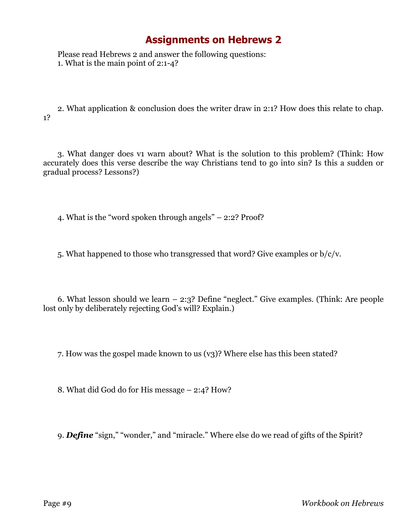Please read Hebrews 2 and answer the following questions: 1. What is the main point of 2:1-4?

2. What application & conclusion does the writer draw in 2:1? How does this relate to chap. 1?

3. What danger does v1 warn about? What is the solution to this problem? (Think: How accurately does this verse describe the way Christians tend to go into sin? Is this a sudden or gradual process? Lessons?)

4. What is the "word spoken through angels" – 2:2? Proof?

5. What happened to those who transgressed that word? Give examples or b/c/v.

6. What lesson should we learn – 2:3? Define "neglect." Give examples. (Think: Are people lost only by deliberately rejecting God's will? Explain.)

7. How was the gospel made known to us (v3)? Where else has this been stated?

8. What did God do for His message – 2:4? How?

9. *Define* "sign," "wonder," and "miracle." Where else do we read of gifts of the Spirit?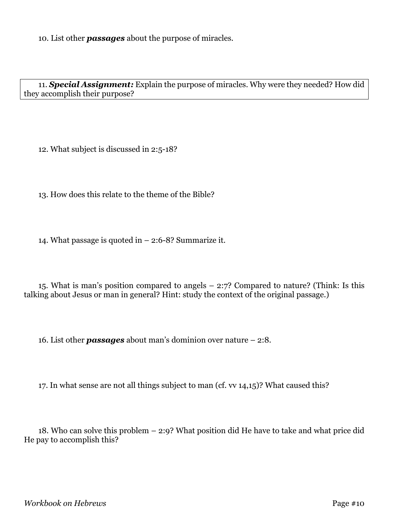10. List other *passages* about the purpose of miracles.

11. *Special Assignment:* Explain the purpose of miracles. Why were they needed? How did they accomplish their purpose?

12. What subject is discussed in 2:5-18?

13. How does this relate to the theme of the Bible?

14. What passage is quoted in – 2:6-8? Summarize it.

15. What is man's position compared to angels – 2:7? Compared to nature? (Think: Is this talking about Jesus or man in general? Hint: study the context of the original passage.)

16. List other *passages* about man's dominion over nature – 2:8.

17. In what sense are not all things subject to man (cf. vv 14,15)? What caused this?

18. Who can solve this problem – 2:9? What position did He have to take and what price did He pay to accomplish this?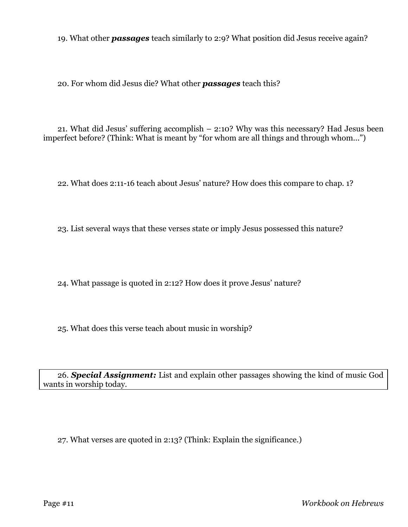19. What other *passages* teach similarly to 2:9? What position did Jesus receive again?

20. For whom did Jesus die? What other *passages* teach this?

21. What did Jesus' suffering accomplish – 2:10? Why was this necessary? Had Jesus been imperfect before? (Think: What is meant by "for whom are all things and through whom...")

22. What does 2:11-16 teach about Jesus' nature? How does this compare to chap. 1?

23. List several ways that these verses state or imply Jesus possessed this nature?

24. What passage is quoted in 2:12? How does it prove Jesus' nature?

25. What does this verse teach about music in worship?

26. *Special Assignment:* List and explain other passages showing the kind of music God wants in worship today.

27. What verses are quoted in 2:13? (Think: Explain the significance.)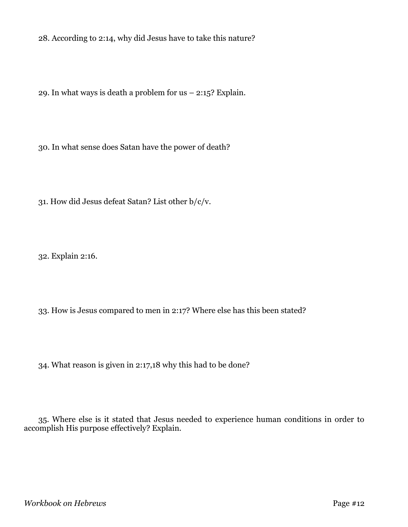28. According to 2:14, why did Jesus have to take this nature?

29. In what ways is death a problem for  $us - 2:15$ ? Explain.

30. In what sense does Satan have the power of death?

31. How did Jesus defeat Satan? List other b/c/v.

32. Explain 2:16.

33. How is Jesus compared to men in 2:17? Where else has this been stated?

34. What reason is given in 2:17,18 why this had to be done?

35. Where else is it stated that Jesus needed to experience human conditions in order to accomplish His purpose effectively? Explain.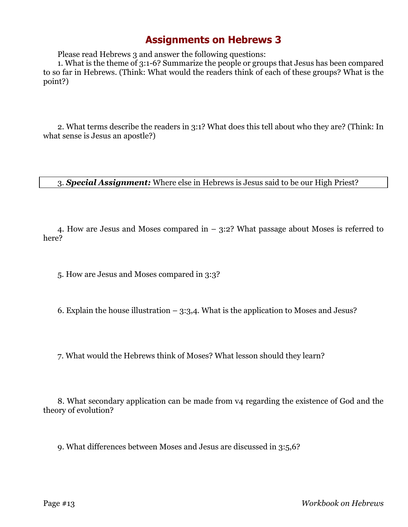Please read Hebrews 3 and answer the following questions:

1. What is the theme of 3:1-6? Summarize the people or groups that Jesus has been compared to so far in Hebrews. (Think: What would the readers think of each of these groups? What is the point?)

2. What terms describe the readers in 3:1? What does this tell about who they are? (Think: In what sense is Jesus an apostle?)

3. *Special Assignment:* Where else in Hebrews is Jesus said to be our High Priest?

4. How are Jesus and Moses compared in – 3:2? What passage about Moses is referred to here?

5. How are Jesus and Moses compared in 3:3?

6. Explain the house illustration  $-3:3,4$ . What is the application to Moses and Jesus?

7. What would the Hebrews think of Moses? What lesson should they learn?

8. What secondary application can be made from v4 regarding the existence of God and the theory of evolution?

9. What differences between Moses and Jesus are discussed in 3:5,6?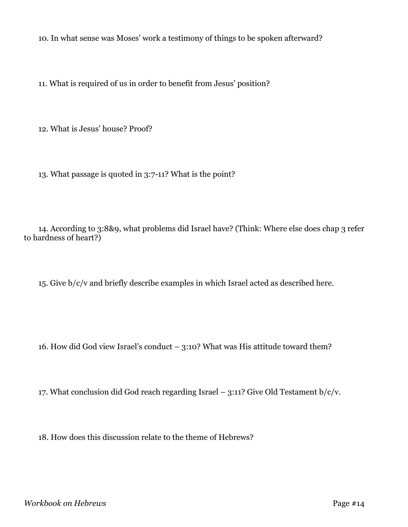10. In what sense was Moses' work a testimony of things to be spoken afterward?

11. What is required of us in order to benefit from Jesus' position?

12. What is Jesus' house? Proof?

13. What passage is quoted in 3:7-11? What is the point?

14. According to 3:8&9, what problems did Israel have? (Think: Where else does chap 3 refer to hardness of heart?)

15. Give b/c/v and briefly describe examples in which Israel acted as described here.

16. How did God view Israel's conduct – 3:10? What was His attitude toward them?

17. What conclusion did God reach regarding Israel – 3:11? Give Old Testament  $b/c/v$ .

18. How does this discussion relate to the theme of Hebrews?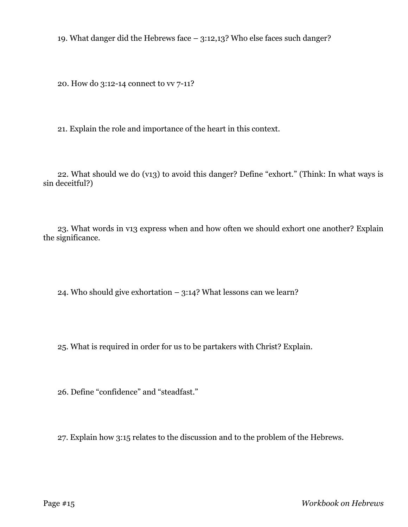19. What danger did the Hebrews face – 3:12,13? Who else faces such danger?

20. How do 3:12-14 connect to vv 7-11?

21. Explain the role and importance of the heart in this context.

22. What should we do (v13) to avoid this danger? Define "exhort." (Think: In what ways is sin deceitful?)

23. What words in v13 express when and how often we should exhort one another? Explain the significance.

24. Who should give exhortation  $-$  3:14? What lessons can we learn?

25. What is required in order for us to be partakers with Christ? Explain.

26. Define "confidence" and "steadfast."

27. Explain how 3:15 relates to the discussion and to the problem of the Hebrews.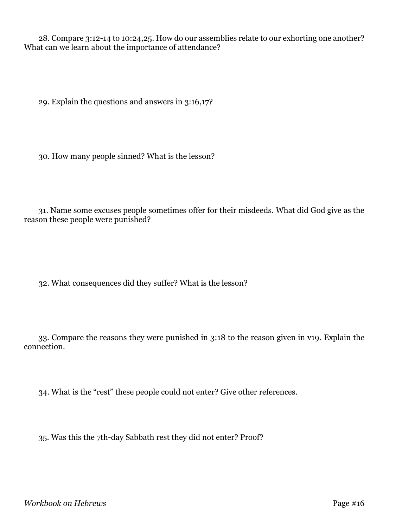28. Compare 3:12-14 to 10:24,25. How do our assemblies relate to our exhorting one another? What can we learn about the importance of attendance?

29. Explain the questions and answers in 3:16,17?

30. How many people sinned? What is the lesson?

31. Name some excuses people sometimes offer for their misdeeds. What did God give as the reason these people were punished?

32. What consequences did they suffer? What is the lesson?

33. Compare the reasons they were punished in 3:18 to the reason given in v19. Explain the connection.

34. What is the "rest" these people could not enter? Give other references.

35. Was this the 7th-day Sabbath rest they did not enter? Proof?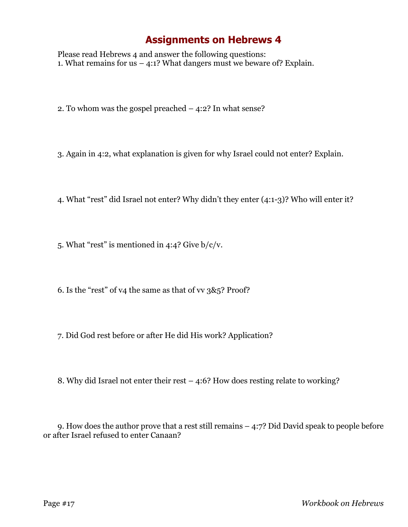Please read Hebrews 4 and answer the following questions: 1. What remains for us  $-$  4:1? What dangers must we beware of? Explain.

2. To whom was the gospel preached – 4:2? In what sense?

3. Again in 4:2, what explanation is given for why Israel could not enter? Explain.

4. What "rest" did Israel not enter? Why didn't they enter (4:1-3)? Who will enter it?

5. What "rest" is mentioned in 4:4? Give b/c/v.

- 6. Is the "rest" of v4 the same as that of vv 3&5? Proof?
- 7. Did God rest before or after He did His work? Application?
- 8. Why did Israel not enter their rest 4:6? How does resting relate to working?

9. How does the author prove that a rest still remains – 4:7? Did David speak to people before or after Israel refused to enter Canaan?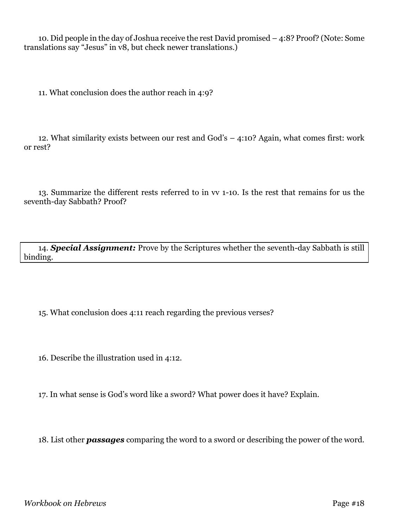10. Did people in the day of Joshua receive the rest David promised – 4:8? Proof? (Note: Some translations say "Jesus" in v8, but check newer translations.)

11. What conclusion does the author reach in 4:9?

12. What similarity exists between our rest and God's – 4:10? Again, what comes first: work or rest?

13. Summarize the different rests referred to in vv 1-10. Is the rest that remains for us the seventh-day Sabbath? Proof?

14. *Special Assignment:* Prove by the Scriptures whether the seventh-day Sabbath is still binding.

15. What conclusion does 4:11 reach regarding the previous verses?

16. Describe the illustration used in 4:12.

17. In what sense is God's word like a sword? What power does it have? Explain.

18. List other *passages* comparing the word to a sword or describing the power of the word.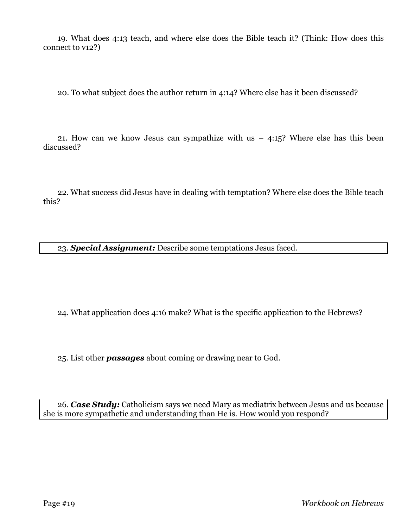19. What does 4:13 teach, and where else does the Bible teach it? (Think: How does this connect to v12?)

20. To what subject does the author return in 4:14? Where else has it been discussed?

21. How can we know Jesus can sympathize with us  $-$  4:15? Where else has this been discussed?

22. What success did Jesus have in dealing with temptation? Where else does the Bible teach this?

23. *Special Assignment:* Describe some temptations Jesus faced.

24. What application does 4:16 make? What is the specific application to the Hebrews?

25. List other *passages* about coming or drawing near to God.

26. *Case Study:* Catholicism says we need Mary as mediatrix between Jesus and us because she is more sympathetic and understanding than He is. How would you respond?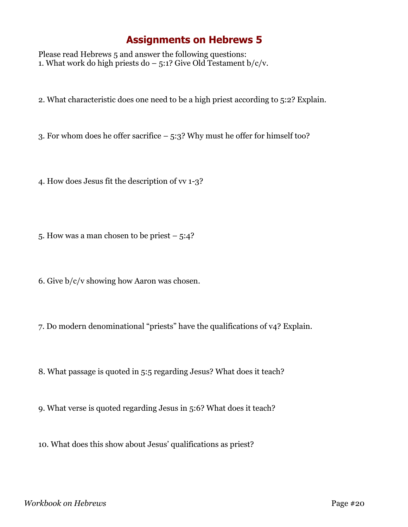Please read Hebrews 5 and answer the following questions: 1. What work do high priests do  $-5:1$ ? Give Old Testament b/c/v.

2. What characteristic does one need to be a high priest according to 5:2? Explain.

3. For whom does he offer sacrifice – 5:3? Why must he offer for himself too?

4. How does Jesus fit the description of vv 1-3?

5. How was a man chosen to be priest  $-5:4$ ?

6. Give b/c/v showing how Aaron was chosen.

7. Do modern denominational "priests" have the qualifications of v4? Explain.

8. What passage is quoted in 5:5 regarding Jesus? What does it teach?

9. What verse is quoted regarding Jesus in 5:6? What does it teach?

10. What does this show about Jesus' qualifications as priest?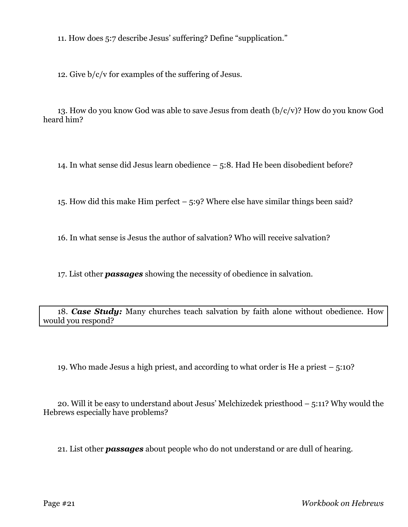11. How does 5:7 describe Jesus' suffering? Define "supplication."

12. Give b/c/v for examples of the suffering of Jesus.

13. How do you know God was able to save Jesus from death (b/c/v)? How do you know God heard him?

14. In what sense did Jesus learn obedience – 5:8. Had He been disobedient before?

15. How did this make Him perfect – 5:9? Where else have similar things been said?

16. In what sense is Jesus the author of salvation? Who will receive salvation?

17. List other *passages* showing the necessity of obedience in salvation.

18. *Case Study:* Many churches teach salvation by faith alone without obedience. How would you respond?

19. Who made Jesus a high priest, and according to what order is He a priest – 5:10?

20. Will it be easy to understand about Jesus' Melchizedek priesthood – 5:11? Why would the Hebrews especially have problems?

21. List other *passages* about people who do not understand or are dull of hearing.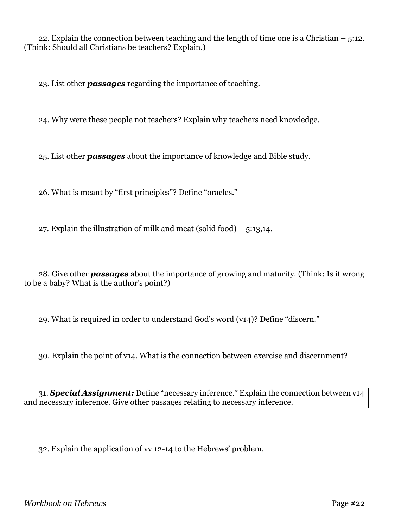22. Explain the connection between teaching and the length of time one is a Christian  $-5:12$ . (Think: Should all Christians be teachers? Explain.)

23. List other *passages* regarding the importance of teaching.

24. Why were these people not teachers? Explain why teachers need knowledge.

25. List other *passages* about the importance of knowledge and Bible study.

26. What is meant by "first principles"? Define "oracles."

27. Explain the illustration of milk and meat (solid food)  $-5:13,14$ .

28. Give other *passages* about the importance of growing and maturity. (Think: Is it wrong to be a baby? What is the author's point?)

29. What is required in order to understand God's word (v14)? Define "discern."

30. Explain the point of v14. What is the connection between exercise and discernment?

31. *Special Assignment:* Define "necessary inference." Explain the connection between v14 and necessary inference. Give other passages relating to necessary inference.

32. Explain the application of vv 12-14 to the Hebrews' problem.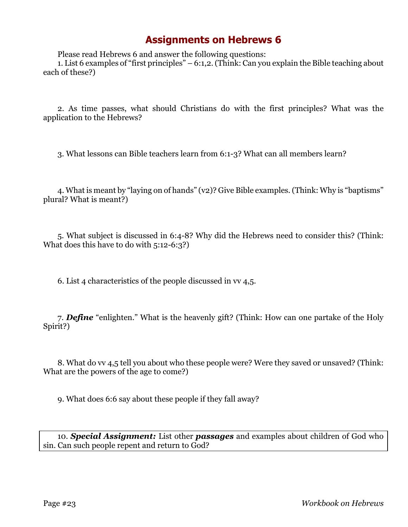Please read Hebrews 6 and answer the following questions:

1. List 6 examples of "first principles" – 6:1,2.(Think: Can you explain the Bible teaching about each of these?)

2. As time passes, what should Christians do with the first principles? What was the application to the Hebrews?

3. What lessons can Bible teachers learn from 6:1-3? What can all members learn?

4. What is meant by "laying on of hands" (v2)? Give Bible examples. (Think: Why is "baptisms" plural? What is meant?)

5. What subject is discussed in 6:4-8? Why did the Hebrews need to consider this? (Think: What does this have to do with 5:12-6:3?)

6. List 4 characteristics of the people discussed in vv 4,5.

7. *Define* "enlighten." What is the heavenly gift? (Think: How can one partake of the Holy Spirit?)

8. What do vv 4,5 tell you about who these people were? Were they saved or unsaved? (Think: What are the powers of the age to come?)

9. What does 6:6 say about these people if they fall away?

10. *Special Assignment:* List other *passages* and examples about children of God who sin. Can such people repent and return to God?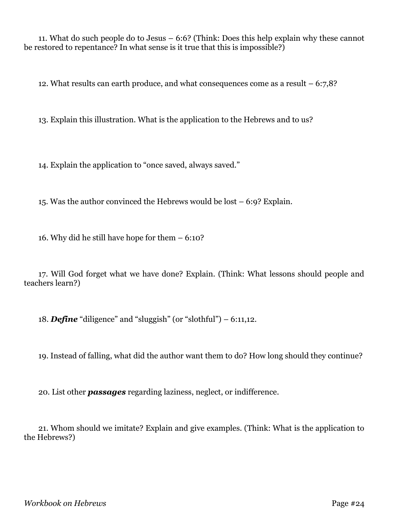11. What do such people do to Jesus – 6:6? (Think: Does this help explain why these cannot be restored to repentance? In what sense is it true that this is impossible?)

12. What results can earth produce, and what consequences come as a result – 6:7,8?

13. Explain this illustration. What is the application to the Hebrews and to us?

14. Explain the application to "once saved, always saved."

15. Was the author convinced the Hebrews would be lost – 6:9? Explain.

16. Why did he still have hope for them – 6:10?

17. Will God forget what we have done? Explain. (Think: What lessons should people and teachers learn?)

18. *Define* "diligence" and "sluggish" (or "slothful") – 6:11,12.

19. Instead of falling, what did the author want them to do? How long should they continue?

20. List other *passages* regarding laziness, neglect, or indifference.

21. Whom should we imitate? Explain and give examples. (Think: What is the application to the Hebrews?)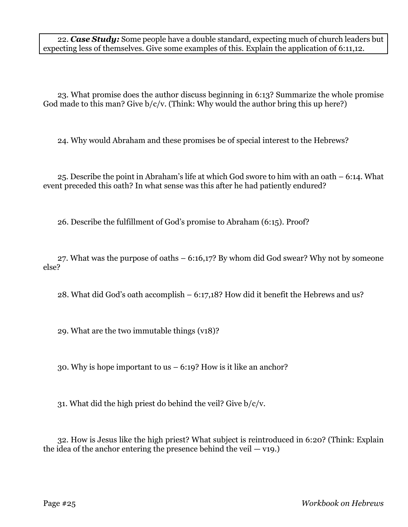22. *Case Study:* Some people have a double standard, expecting much of church leaders but expecting less of themselves. Give some examples of this. Explain the application of 6:11,12.

23. What promise does the author discuss beginning in 6:13? Summarize the whole promise God made to this man? Give  $b/c/v$ . (Think: Why would the author bring this up here?)

24. Why would Abraham and these promises be of special interest to the Hebrews?

25. Describe the point in Abraham's life at which God swore to him with an oath – 6:14. What event preceded this oath? In what sense was this after he had patiently endured?

26. Describe the fulfillment of God's promise to Abraham (6:15). Proof?

27. What was the purpose of oaths – 6:16,17? By whom did God swear? Why not by someone else?

28. What did God's oath accomplish – 6:17,18? How did it benefit the Hebrews and us?

29. What are the two immutable things (v18)?

30. Why is hope important to us – 6:19? How is it like an anchor?

31. What did the high priest do behind the veil? Give b/c/v.

32. How is Jesus like the high priest? What subject is reintroduced in 6:20? (Think: Explain the idea of the anchor entering the presence behind the veil  $-$  v19.)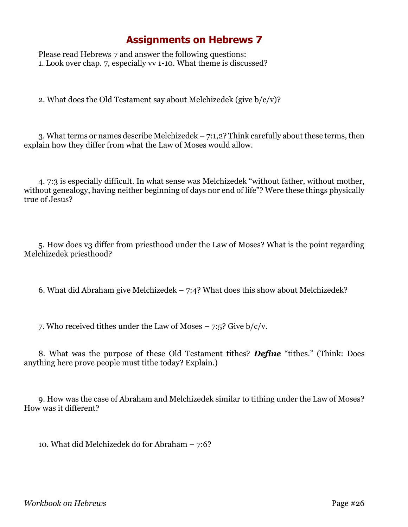Please read Hebrews 7 and answer the following questions: 1. Look over chap. 7, especially vv 1-10. What theme is discussed?

2. What does the Old Testament say about Melchizedek (give  $b/c/v$ )?

3. What terms or names describe Melchizedek – 7:1,2? Think carefully about these terms, then explain how they differ from what the Law of Moses would allow.

4. 7:3 is especially difficult. In what sense was Melchizedek "without father, without mother, without genealogy, having neither beginning of days nor end of life"? Were these things physically true of Jesus?

5. How does v3 differ from priesthood under the Law of Moses? What is the point regarding Melchizedek priesthood?

6. What did Abraham give Melchizedek – 7:4? What does this show about Melchizedek?

7. Who received tithes under the Law of Moses  $-7.5$ ? Give  $b/c/v$ .

8. What was the purpose of these Old Testament tithes? *Define* "tithes." (Think: Does anything here prove people must tithe today? Explain.)

9. How was the case of Abraham and Melchizedek similar to tithing under the Law of Moses? How was it different?

10. What did Melchizedek do for Abraham – 7:6?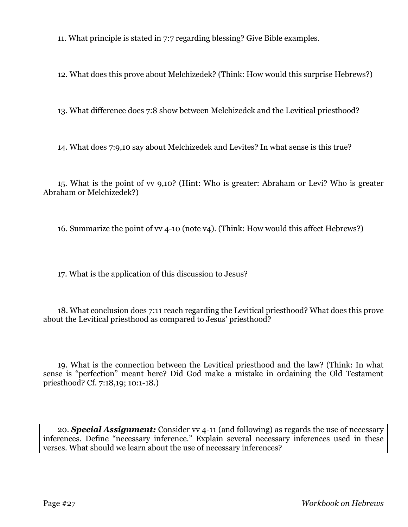11. What principle is stated in 7:7 regarding blessing? Give Bible examples.

12. What does this prove about Melchizedek? (Think: How would this surprise Hebrews?)

13. What difference does 7:8 show between Melchizedek and the Levitical priesthood?

14. What does 7:9,10 say about Melchizedek and Levites? In what sense is this true?

15. What is the point of vv 9,10? (Hint: Who is greater: Abraham or Levi? Who is greater Abraham or Melchizedek?)

16. Summarize the point of vv 4-10 (note v4). (Think: How would this affect Hebrews?)

17. What is the application of this discussion to Jesus?

18. What conclusion does 7:11 reach regarding the Levitical priesthood? What does this prove about the Levitical priesthood as compared to Jesus' priesthood?

19. What is the connection between the Levitical priesthood and the law? (Think: In what sense is "perfection" meant here? Did God make a mistake in ordaining the Old Testament priesthood? Cf. 7:18,19; 10:1-18.)

20. *Special Assignment:* Consider vv 4-11 (and following) as regards the use of necessary inferences. Define "necessary inference." Explain several necessary inferences used in these verses. What should we learn about the use of necessary inferences?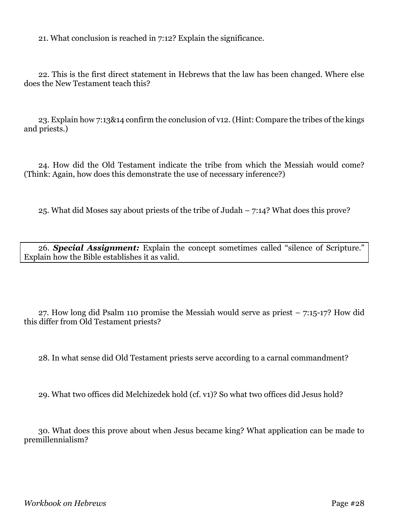21. What conclusion is reached in 7:12? Explain the significance.

22. This is the first direct statement in Hebrews that the law has been changed. Where else does the New Testament teach this?

23. Explain how 7:13&14 confirm the conclusion of v12. (Hint: Compare the tribes of the kings and priests.)

24. How did the Old Testament indicate the tribe from which the Messiah would come? (Think: Again, how does this demonstrate the use of necessary inference?)

25. What did Moses say about priests of the tribe of Judah – 7:14? What does this prove?

26. *Special Assignment:* Explain the concept sometimes called "silence of Scripture." Explain how the Bible establishes it as valid.

27. How long did Psalm 110 promise the Messiah would serve as priest  $-7:15-17$ ? How did this differ from Old Testament priests?

28. In what sense did Old Testament priests serve according to a carnal commandment?

29. What two offices did Melchizedek hold (cf. v1)? So what two offices did Jesus hold?

30. What does this prove about when Jesus became king? What application can be made to premillennialism?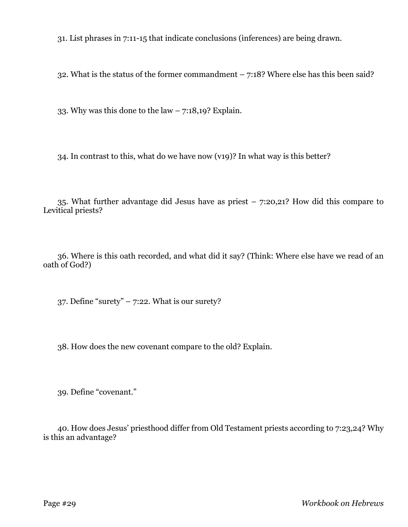31. List phrases in 7:11-15 that indicate conclusions (inferences) are being drawn.

32. What is the status of the former commandment  $-7:18$ ? Where else has this been said?

33. Why was this done to the law – 7:18,19? Explain.

34. In contrast to this, what do we have now (v19)? In what way is this better?

35. What further advantage did Jesus have as priest – 7:20,21? How did this compare to Levitical priests?

36. Where is this oath recorded, and what did it say? (Think: Where else have we read of an oath of God?)

37. Define "surety"  $-7:22$ . What is our surety?

38. How does the new covenant compare to the old? Explain.

39. Define "covenant."

40. How does Jesus' priesthood differ from Old Testament priests according to 7:23,24? Why is this an advantage?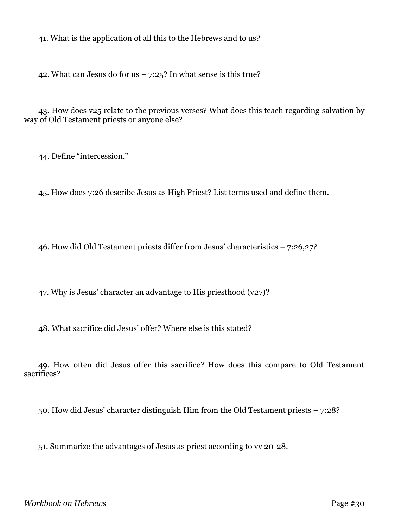41. What is the application of all this to the Hebrews and to us?

42. What can Jesus do for us  $-7:25$ ? In what sense is this true?

43. How does v25 relate to the previous verses? What does this teach regarding salvation by way of Old Testament priests or anyone else?

44. Define "intercession."

45. How does 7:26 describe Jesus as High Priest? List terms used and define them.

46. How did Old Testament priests differ from Jesus' characteristics – 7:26,27?

47. Why is Jesus' character an advantage to His priesthood  $(v27)$ ?

48. What sacrifice did Jesus' offer? Where else is this stated?

49. How often did Jesus offer this sacrifice? How does this compare to Old Testament sacrifices?

50. How did Jesus' character distinguish Him from the Old Testament priests – 7:28?

51. Summarize the advantages of Jesus as priest according to vv 20-28.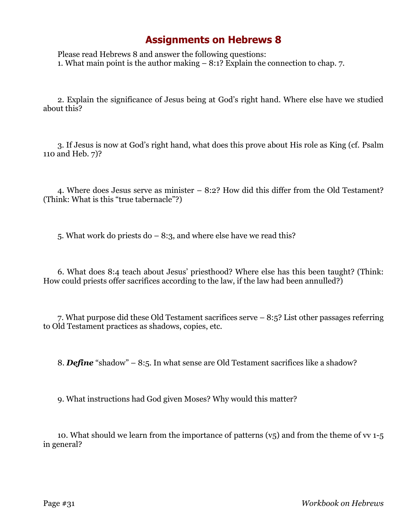Please read Hebrews 8 and answer the following questions: 1. What main point is the author making – 8:1? Explain the connection to chap. 7.

2. Explain the significance of Jesus being at God's right hand. Where else have we studied about this?

3. If Jesus is now at God's right hand, what does this prove about His role as King (cf. Psalm 110 and Heb. 7)?

4. Where does Jesus serve as minister – 8:2? How did this differ from the Old Testament? (Think: What is this "true tabernacle"?)

5. What work do priests do  $-8:3$ , and where else have we read this?

6. What does 8:4 teach about Jesus' priesthood? Where else has this been taught? (Think: How could priests offer sacrifices according to the law, if the law had been annulled?)

7. What purpose did these Old Testament sacrifices serve – 8:5? List other passages referring to Old Testament practices as shadows, copies, etc.

8. *Define* "shadow" – 8:5. In what sense are Old Testament sacrifices like a shadow?

9. What instructions had God given Moses? Why would this matter?

10. What should we learn from the importance of patterns  $(v_5)$  and from the theme of vv 1-5 in general?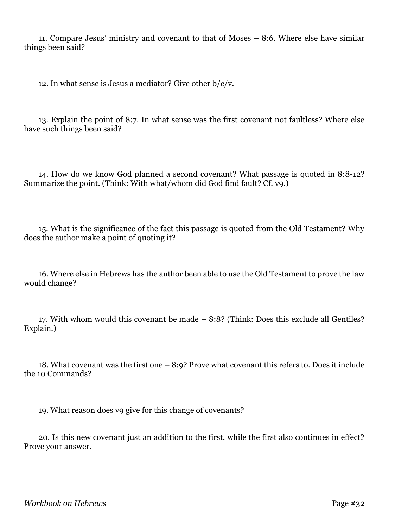11. Compare Jesus' ministry and covenant to that of Moses – 8:6. Where else have similar things been said?

12. In what sense is Jesus a mediator? Give other  $b/c/v$ .

13. Explain the point of 8:7. In what sense was the first covenant not faultless? Where else have such things been said?

14. How do we know God planned a second covenant? What passage is quoted in 8:8-12? Summarize the point. (Think: With what/whom did God find fault? Cf. v9.)

15. What is the significance of the fact this passage is quoted from the Old Testament? Why does the author make a point of quoting it?

16. Where else in Hebrews has the author been able to use the Old Testament to prove the law would change?

17. With whom would this covenant be made – 8:8? (Think: Does this exclude all Gentiles? Explain.)

18. What covenant was the first one – 8:9? Prove what covenant this refers to. Does it include the 10 Commands?

19. What reason does v9 give for this change of covenants?

20. Is this new covenant just an addition to the first, while the first also continues in effect? Prove your answer.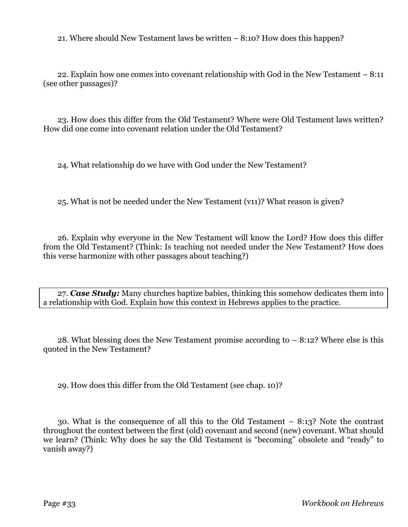21. Where should New Testament laws be written – 8:10? How does this happen?

22. Explain how one comes into covenant relationship with God in the New Testament – 8:11 (see other passages)?

23. How does this differ from the Old Testament? Where were Old Testament laws written? How did one come into covenant relation under the Old Testament?

24. What relationship do we have with God under the New Testament?

25. What is not be needed under the New Testament (v11)? What reason is given?

26. Explain why everyone in the New Testament will know the Lord? How does this differ from the Old Testament? (Think: Is teaching not needed under the New Testament? How does this verse harmonize with other passages about teaching?)

27. *Case Study:* Many churches baptize babies, thinking this somehow dedicates them into a relationship with God. Explain how this context in Hebrews applies to the practice.

28. What blessing does the New Testament promise according to  $-8:12$ ? Where else is this quoted in the New Testament?

29. How does this differ from the Old Testament (see chap. 10)?

30. What is the consequence of all this to the Old Testament – 8:13? Note the contrast throughout the context between the first (old) covenant and second (new) covenant. What should we learn? (Think: Why does he say the Old Testament is "becoming" obsolete and "ready" to vanish away?)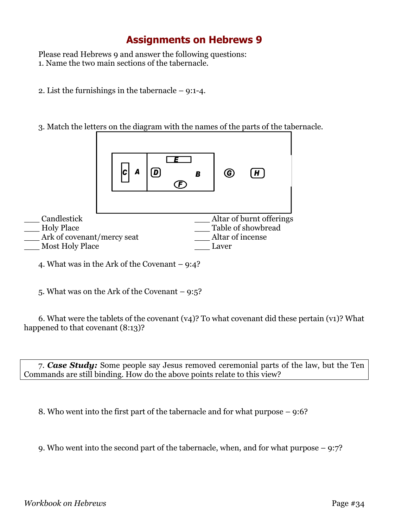Please read Hebrews 9 and answer the following questions: 1. Name the two main sections of the tabernacle.

- 2. List the furnishings in the tabernacle 9:1-4.
- 3. Match the letters on the diagram with the names of the parts of the tabernacle.



4. What was in the Ark of the Covenant – 9:4?

5. What was on the Ark of the Covenant – 9:5?

6. What were the tablets of the covenant (v4)? To what covenant did these pertain (v1)? What happened to that covenant (8:13)?

7. *Case Study:* Some people say Jesus removed ceremonial parts of the law, but the Ten Commands are still binding. How do the above points relate to this view?

8. Who went into the first part of the tabernacle and for what purpose – 9:6?

9. Who went into the second part of the tabernacle, when, and for what purpose – 9:7?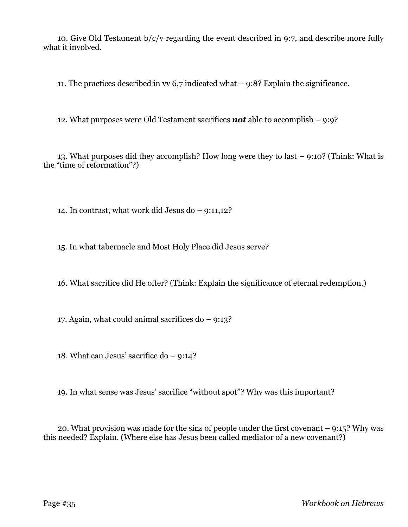10. Give Old Testament  $b/c/v$  regarding the event described in 9:7, and describe more fully what it involved.

11. The practices described in vv 6,7 indicated what – 9:8? Explain the significance.

12. What purposes were Old Testament sacrifices *not* able to accomplish – 9:9?

13. What purposes did they accomplish? How long were they to last – 9:10? (Think: What is the "time of reformation"?)

14. In contrast, what work did Jesus do – 9:11,12?

15. In what tabernacle and Most Holy Place did Jesus serve?

16. What sacrifice did He offer? (Think: Explain the significance of eternal redemption.)

17. Again, what could animal sacrifices do – 9:13?

18. What can Jesus' sacrifice do – 9:14?

19. In what sense was Jesus' sacrifice "without spot"? Why was this important?

20. What provision was made for the sins of people under the first covenant – 9:15? Why was this needed? Explain. (Where else has Jesus been called mediator of a new covenant?)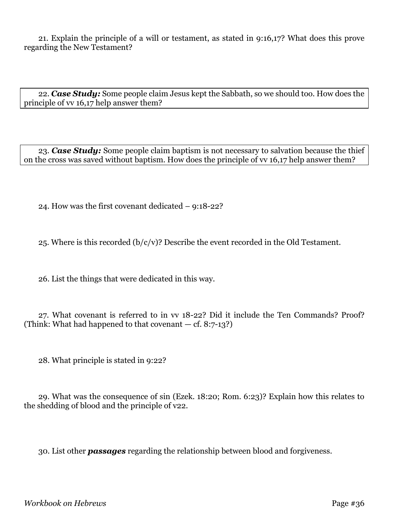21. Explain the principle of a will or testament, as stated in 9:16,17? What does this prove regarding the New Testament?

22. *Case Study:* Some people claim Jesus kept the Sabbath, so we should too. How does the principle of vv 16,17 help answer them?

23. *Case Study:* Some people claim baptism is not necessary to salvation because the thief on the cross was saved without baptism. How does the principle of vv 16,17 help answer them?

24. How was the first covenant dedicated – 9:18-22?

25. Where is this recorded  $(b/c/v)$ ? Describe the event recorded in the Old Testament.

26. List the things that were dedicated in this way.

27. What covenant is referred to in vv 18-22? Did it include the Ten Commands? Proof? (Think: What had happened to that covenant  $-$  cf. 8:7-13?)

28. What principle is stated in 9:22?

29. What was the consequence of sin (Ezek. 18:20; Rom. 6:23)? Explain how this relates to the shedding of blood and the principle of v22.

30. List other *passages* regarding the relationship between blood and forgiveness.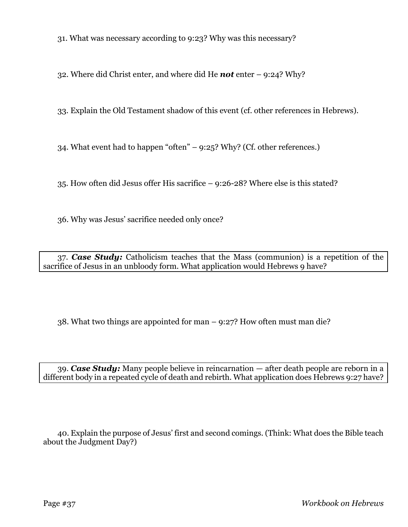31. What was necessary according to 9:23? Why was this necessary?

32. Where did Christ enter, and where did He *not* enter – 9:24? Why?

33. Explain the Old Testament shadow of this event (cf. other references in Hebrews).

34. What event had to happen "often" – 9:25? Why? (Cf. other references.)

35. How often did Jesus offer His sacrifice – 9:26-28? Where else is this stated?

36. Why was Jesus' sacrifice needed only once?

37. *Case Study:* Catholicism teaches that the Mass (communion) is a repetition of the sacrifice of Jesus in an unbloody form. What application would Hebrews 9 have?

38. What two things are appointed for man – 9:27? How often must man die?

39. *Case Study:* Many people believe in reincarnation — after death people are reborn in a different body in a repeated cycle of death and rebirth. What application does Hebrews 9:27 have?

40. Explain the purpose of Jesus' first and second comings. (Think: What does the Bible teach about the Judgment Day?)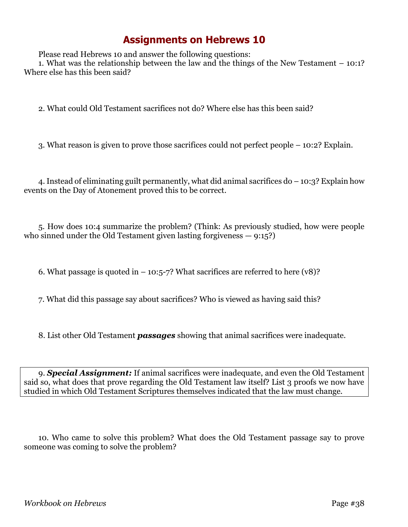Please read Hebrews 10 and answer the following questions:

1. What was the relationship between the law and the things of the New Testament – 10:1? Where else has this been said?

2. What could Old Testament sacrifices not do? Where else has this been said?

3. What reason is given to prove those sacrifices could not perfect people – 10:2? Explain.

4. Instead of eliminating guilt permanently, what did animal sacrifices do – 10:3? Explain how events on the Day of Atonement proved this to be correct.

5. How does 10:4 summarize the problem? (Think: As previously studied, how were people who sinned under the Old Testament given lasting forgiveness  $-9:15$ ?

6. What passage is quoted in  $-10:5-7$ ? What sacrifices are referred to here (v8)?

7. What did this passage say about sacrifices? Who is viewed as having said this?

8. List other Old Testament *passages* showing that animal sacrifices were inadequate.

9. *Special Assignment:* If animal sacrifices were inadequate, and even the Old Testament said so, what does that prove regarding the Old Testament law itself? List 3 proofs we now have studied in which Old Testament Scriptures themselves indicated that the law must change.

10. Who came to solve this problem? What does the Old Testament passage say to prove someone was coming to solve the problem?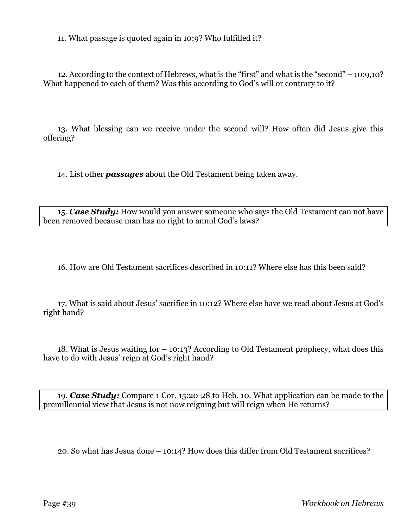11. What passage is quoted again in 10:9? Who fulfilled it?

12. According to the context of Hebrews, what is the "first" and what is the "second" – 10:9,10? What happened to each of them? Was this according to God's will or contrary to it?

13. What blessing can we receive under the second will? How often did Jesus give this offering?

14. List other *passages* about the Old Testament being taken away.

15. *Case Study:* How would you answer someone who says the Old Testament can not have been removed because man has no right to annul God's laws?

16. How are Old Testament sacrifices described in 10:11? Where else has this been said?

17. What is said about Jesus' sacrifice in 10:12? Where else have we read about Jesus at God's right hand?

18. What is Jesus waiting for – 10:13? According to Old Testament prophecy, what does this have to do with Jesus' reign at God's right hand?

19. *Case Study:* Compare 1 Cor. 15:20-28 to Heb. 10. What application can be made to the premillennial view that Jesus is not now reigning but will reign when He returns?

20. So what has Jesus done – 10:14? How does this differ from Old Testament sacrifices?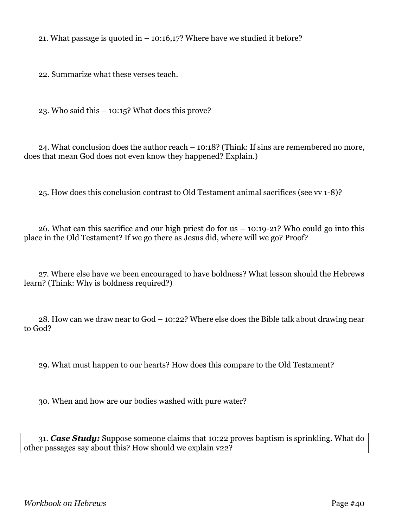21. What passage is quoted in  $-10:16,17$ ? Where have we studied it before?

22. Summarize what these verses teach.

23. Who said this – 10:15? What does this prove?

24. What conclusion does the author reach – 10:18? (Think: If sins are remembered no more, does that mean God does not even know they happened? Explain.)

25. How does this conclusion contrast to Old Testament animal sacrifices (see vv 1-8)?

26. What can this sacrifice and our high priest do for us – 10:19-21? Who could go into this place in the Old Testament? If we go there as Jesus did, where will we go? Proof?

27. Where else have we been encouraged to have boldness? What lesson should the Hebrews learn? (Think: Why is boldness required?)

28. How can we draw near to God – 10:22? Where else does the Bible talk about drawing near to God?

29. What must happen to our hearts? How does this compare to the Old Testament?

30. When and how are our bodies washed with pure water?

31. *Case Study:* Suppose someone claims that 10:22 proves baptism is sprinkling. What do other passages say about this? How should we explain v22?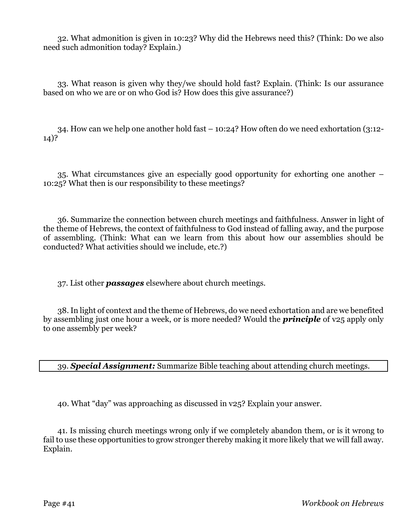32. What admonition is given in 10:23? Why did the Hebrews need this? (Think: Do we also need such admonition today? Explain.)

33. What reason is given why they/we should hold fast? Explain. (Think: Is our assurance based on who we are or on who God is? How does this give assurance?)

34. How can we help one another hold fast – 10:24? How often do we need exhortation (3:12- 14)?

35. What circumstances give an especially good opportunity for exhorting one another – 10:25? What then is our responsibility to these meetings?

36. Summarize the connection between church meetings and faithfulness. Answer in light of the theme of Hebrews, the context of faithfulness to God instead of falling away, and the purpose of assembling. (Think: What can we learn from this about how our assemblies should be conducted? What activities should we include, etc.?)

37. List other *passages* elsewhere about church meetings.

38. In light of context and the theme of Hebrews, do we need exhortation and are we benefited by assembling just one hour a week, or is more needed? Would the *principle* of v25 apply only to one assembly per week?

39. *Special Assignment:* Summarize Bible teaching about attending church meetings.

40. What "day" was approaching as discussed in v25? Explain your answer.

41. Is missing church meetings wrong only if we completely abandon them, or is it wrong to fail to use these opportunities to grow stronger thereby making it more likely that we will fall away. Explain.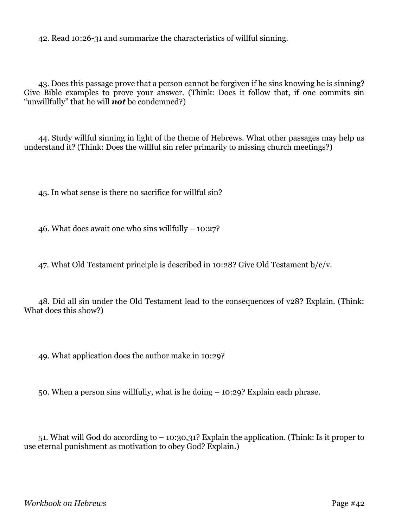42. Read 10:26-31 and summarize the characteristics of willful sinning.

43. Does this passage prove that a person cannot be forgiven if he sins knowing he is sinning? Give Bible examples to prove your answer. (Think: Does it follow that, if one commits sin "unwillfully" that he will *not* be condemned?)

44. Study willful sinning in light of the theme of Hebrews. What other passages may help us understand it? (Think: Does the willful sin refer primarily to missing church meetings?)

45. In what sense is there no sacrifice for willful sin?

46. What does await one who sins willfully – 10:27?

47. What Old Testament principle is described in 10:28? Give Old Testament b/c/v.

48. Did all sin under the Old Testament lead to the consequences of v28? Explain. (Think: What does this show?)

49. What application does the author make in 10:29?

50. When a person sins willfully, what is he doing – 10:29? Explain each phrase.

51. What will God do according to – 10:30,31? Explain the application. (Think: Is it proper to use eternal punishment as motivation to obey God? Explain.)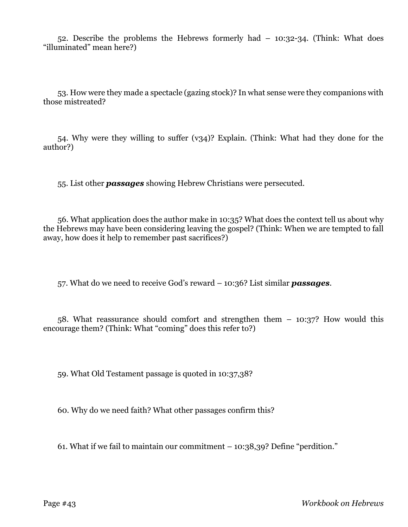52. Describe the problems the Hebrews formerly had – 10:32-34. (Think: What does "illuminated" mean here?)

53. How were they made a spectacle (gazing stock)? In what sense were they companions with those mistreated?

54. Why were they willing to suffer (v34)? Explain. (Think: What had they done for the author?)

55. List other *passages* showing Hebrew Christians were persecuted.

56. What application does the author make in 10:35? What does the context tell us about why the Hebrews may have been considering leaving the gospel? (Think: When we are tempted to fall away, how does it help to remember past sacrifices?)

57. What do we need to receive God's reward – 10:36? List similar *passages*.

58. What reassurance should comfort and strengthen them – 10:37? How would this encourage them? (Think: What "coming" does this refer to?)

59. What Old Testament passage is quoted in 10:37,38?

60. Why do we need faith? What other passages confirm this?

61. What if we fail to maintain our commitment – 10:38,39? Define "perdition."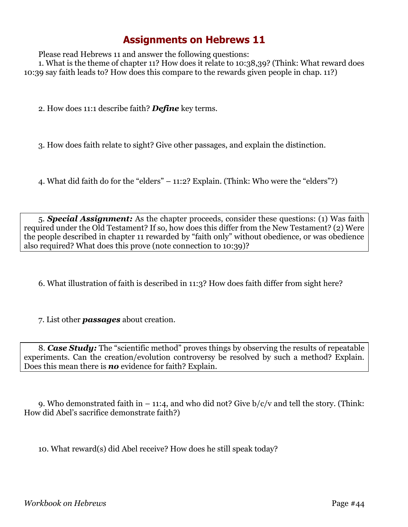Please read Hebrews 11 and answer the following questions:

1. What is the theme of chapter 11? How does it relate to 10:38,39? (Think: What reward does 10:39 say faith leads to? How does this compare to the rewards given people in chap. 11?)

2. How does 11:1 describe faith? *Define* key terms.

3. How does faith relate to sight? Give other passages, and explain the distinction.

4. What did faith do for the "elders" – 11:2? Explain. (Think: Who were the "elders"?)

5. *Special Assignment:* As the chapter proceeds, consider these questions: (1) Was faith required under the Old Testament? If so, how does this differ from the New Testament? (2) Were the people described in chapter 11 rewarded by "faith only" without obedience, or was obedience also required? What does this prove (note connection to 10:39)?

6. What illustration of faith is described in 11:3? How does faith differ from sight here?

7. List other *passages* about creation.

8. *Case Study:* The "scientific method" proves things by observing the results of repeatable experiments. Can the creation/evolution controversy be resolved by such a method? Explain. Does this mean there is *no* evidence for faith? Explain.

9. Who demonstrated faith in  $-11:4$ , and who did not? Give  $b/c/v$  and tell the story. (Think: How did Abel's sacrifice demonstrate faith?)

10. What reward(s) did Abel receive? How does he still speak today?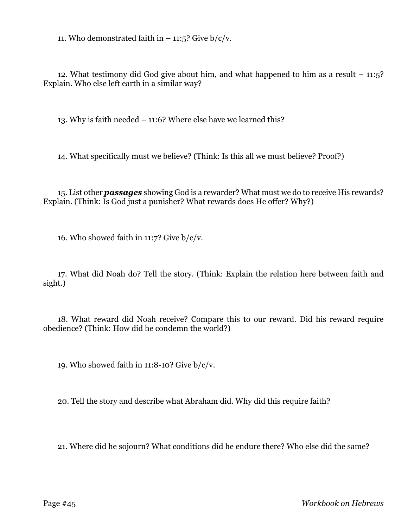11. Who demonstrated faith in  $-$  11:5? Give b/c/v.

12. What testimony did God give about him, and what happened to him as a result – 11:5? Explain. Who else left earth in a similar way?

13. Why is faith needed – 11:6? Where else have we learned this?

14. What specifically must we believe? (Think: Is this all we must believe? Proof?)

15. List other *passages* showing God is a rewarder? What must we do to receive His rewards? Explain. (Think: Is God just a punisher? What rewards does He offer? Why?)

16. Who showed faith in 11:7? Give b/c/v.

17. What did Noah do? Tell the story. (Think: Explain the relation here between faith and sight.)

18. What reward did Noah receive? Compare this to our reward. Did his reward require obedience? (Think: How did he condemn the world?)

19. Who showed faith in 11:8-10? Give  $b/c/v$ .

20. Tell the story and describe what Abraham did. Why did this require faith?

21. Where did he sojourn? What conditions did he endure there? Who else did the same?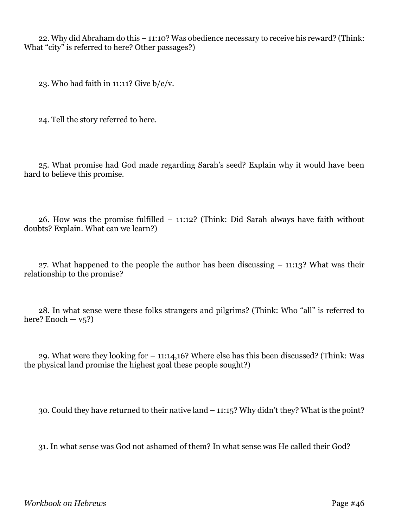22. Why did Abraham do this – 11:10? Was obedience necessary to receive his reward? (Think: What "city" is referred to here? Other passages?)

23. Who had faith in 11:11? Give  $b/c/v$ .

24. Tell the story referred to here.

25. What promise had God made regarding Sarah's seed? Explain why it would have been hard to believe this promise.

26. How was the promise fulfilled – 11:12? (Think: Did Sarah always have faith without doubts? Explain. What can we learn?)

27. What happened to the people the author has been discussing – 11:13? What was their relationship to the promise?

28. In what sense were these folks strangers and pilgrims? (Think: Who "all" is referred to here? Enoch  $-\nu$ <sub>5</sub>?)

29. What were they looking for – 11:14,16? Where else has this been discussed? (Think: Was the physical land promise the highest goal these people sought?)

30. Could they have returned to their native land – 11:15? Why didn't they? What is the point?

31. In what sense was God not ashamed of them? In what sense was He called their God?

*Workbook on Hebrews* Page #46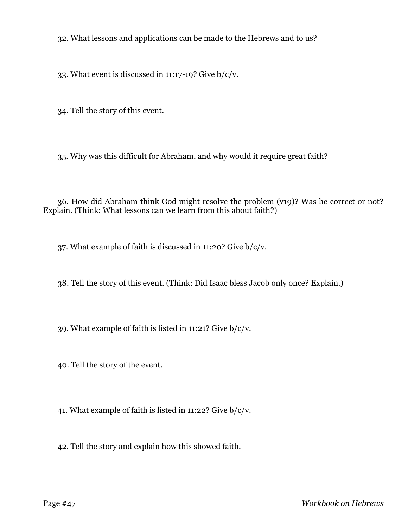32. What lessons and applications can be made to the Hebrews and to us?

33. What event is discussed in 11:17-19? Give b/c/v.

34. Tell the story of this event.

35. Why was this difficult for Abraham, and why would it require great faith?

36. How did Abraham think God might resolve the problem (v19)? Was he correct or not? Explain. (Think: What lessons can we learn from this about faith?)

37. What example of faith is discussed in 11:20? Give b/c/v.

38. Tell the story of this event. (Think: Did Isaac bless Jacob only once? Explain.)

39. What example of faith is listed in 11:21? Give b/c/v.

40. Tell the story of the event.

41. What example of faith is listed in 11:22? Give b/c/v.

42. Tell the story and explain how this showed faith.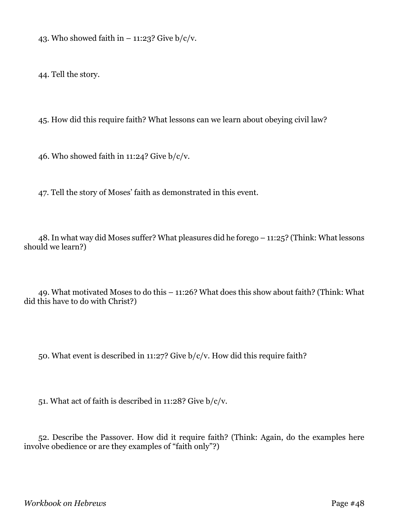43. Who showed faith in  $-$  11:23? Give  $b/c/v$ .

44. Tell the story.

45. How did this require faith? What lessons can we learn about obeying civil law?

46. Who showed faith in 11:24? Give  $b/c/v$ .

47. Tell the story of Moses' faith as demonstrated in this event.

48. In what way did Moses suffer? What pleasures did he forego – 11:25? (Think: What lessons should we learn?)

49. What motivated Moses to do this – 11:26? What does this show about faith? (Think: What did this have to do with Christ?)

50. What event is described in 11:27? Give b/c/v. How did this require faith?

51. What act of faith is described in 11:28? Give b/c/v.

52. Describe the Passover. How did it require faith? (Think: Again, do the examples here involve obedience or are they examples of "faith only"?)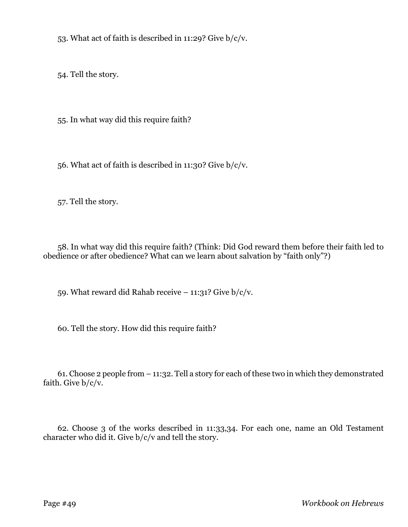53. What act of faith is described in 11:29? Give b/c/v.

54. Tell the story.

55. In what way did this require faith?

56. What act of faith is described in 11:30? Give b/c/v.

57. Tell the story.

58. In what way did this require faith? (Think: Did God reward them before their faith led to obedience or after obedience? What can we learn about salvation by "faith only"?)

59. What reward did Rahab receive  $-$  11:31? Give  $b/c/v$ .

60. Tell the story. How did this require faith?

61. Choose 2 people from – 11:32. Tell a story for each of these two in which they demonstrated faith. Give  $b/c/v$ .

62. Choose 3 of the works described in 11:33,34. For each one, name an Old Testament character who did it. Give b/c/v and tell the story.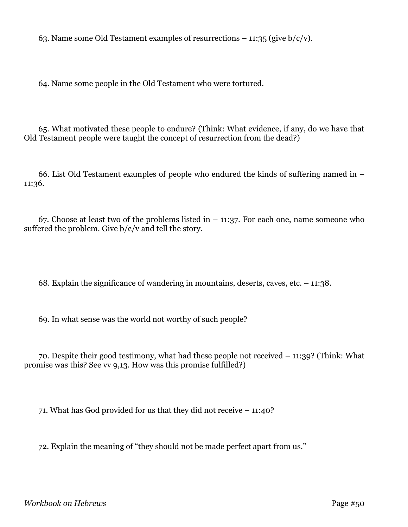63. Name some Old Testament examples of resurrections  $-11:35$  (give  $b/c/v$ ).

64. Name some people in the Old Testament who were tortured.

65. What motivated these people to endure? (Think: What evidence, if any, do we have that Old Testament people were taught the concept of resurrection from the dead?)

66. List Old Testament examples of people who endured the kinds of suffering named in – 11:36.

67. Choose at least two of the problems listed in  $-11:37$ . For each one, name someone who suffered the problem. Give  $b/c/v$  and tell the story.

68. Explain the significance of wandering in mountains, deserts, caves, etc. – 11:38.

69. In what sense was the world not worthy of such people?

70. Despite their good testimony, what had these people not received – 11:39? (Think: What promise was this? See vv 9,13. How was this promise fulfilled?)

71. What has God provided for us that they did not receive – 11:40?

72. Explain the meaning of "they should not be made perfect apart from us."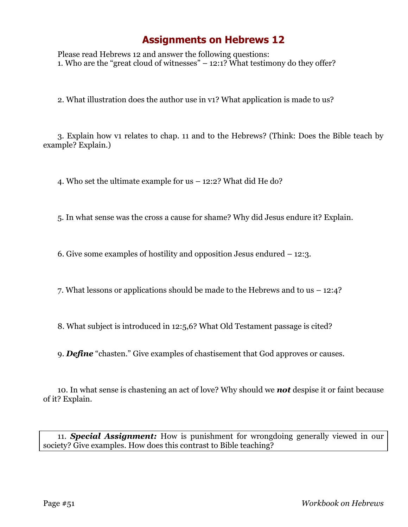Please read Hebrews 12 and answer the following questions: 1. Who are the "great cloud of witnesses"  $-12:1$ ? What testimony do they offer?

2. What illustration does the author use in v1? What application is made to us?

3. Explain how v1 relates to chap. 11 and to the Hebrews? (Think: Does the Bible teach by example? Explain.)

4. Who set the ultimate example for us – 12:2? What did He do?

5. In what sense was the cross a cause for shame? Why did Jesus endure it? Explain.

6. Give some examples of hostility and opposition Jesus endured – 12:3.

7. What lessons or applications should be made to the Hebrews and to us – 12:4?

8. What subject is introduced in 12:5,6? What Old Testament passage is cited?

9. *Define* "chasten." Give examples of chastisement that God approves or causes.

10. In what sense is chastening an act of love? Why should we *not* despise it or faint because of it? Explain.

11. *Special Assignment:* How is punishment for wrongdoing generally viewed in our society? Give examples. How does this contrast to Bible teaching?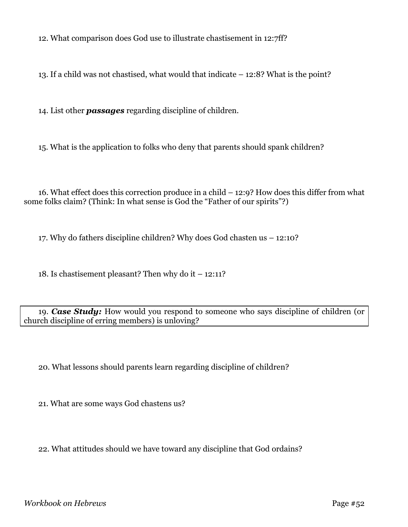12. What comparison does God use to illustrate chastisement in 12:7ff?

13. If a child was not chastised, what would that indicate – 12:8? What is the point?

14. List other *passages* regarding discipline of children.

15. What is the application to folks who deny that parents should spank children?

16. What effect does this correction produce in a child – 12:9? How does this differ from what some folks claim? (Think: In what sense is God the "Father of our spirits"?)

17. Why do fathers discipline children? Why does God chasten us – 12:10?

18. Is chastisement pleasant? Then why do it – 12:11?

19. *Case Study:* How would you respond to someone who says discipline of children (or church discipline of erring members) is unloving?

20. What lessons should parents learn regarding discipline of children?

21. What are some ways God chastens us?

22. What attitudes should we have toward any discipline that God ordains?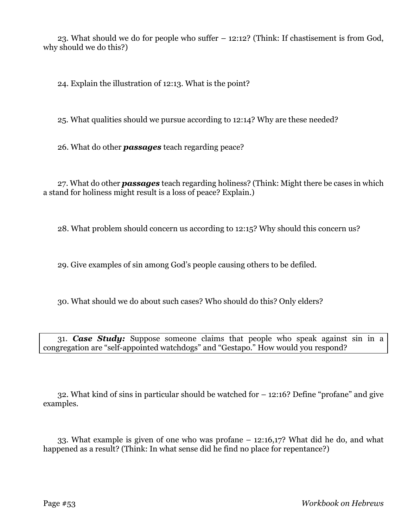23. What should we do for people who suffer – 12:12? (Think: If chastisement is from God, why should we do this?)

24. Explain the illustration of 12:13. What is the point?

25. What qualities should we pursue according to 12:14? Why are these needed?

26. What do other *passages* teach regarding peace?

27. What do other *passages* teach regarding holiness? (Think: Might there be cases in which a stand for holiness might result is a loss of peace? Explain.)

28. What problem should concern us according to 12:15? Why should this concern us?

29. Give examples of sin among God's people causing others to be defiled.

30. What should we do about such cases? Who should do this? Only elders?

31. *Case Study:* Suppose someone claims that people who speak against sin in a congregation are "self-appointed watchdogs" and "Gestapo." How would you respond?

32. What kind of sins in particular should be watched for – 12:16? Define "profane" and give examples.

33. What example is given of one who was profane – 12:16,17? What did he do, and what happened as a result? (Think: In what sense did he find no place for repentance?)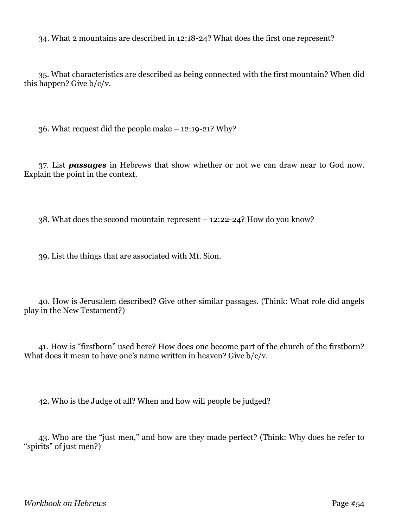34. What 2 mountains are described in 12:18-24? What does the first one represent?

35. What characteristics are described as being connected with the first mountain? When did this happen? Give b/c/v.

36. What request did the people make – 12:19-21? Why?

37. List *passages* in Hebrews that show whether or not we can draw near to God now. Explain the point in the context.

38. What does the second mountain represent – 12:22-24? How do you know?

39. List the things that are associated with Mt. Sion.

40. How is Jerusalem described? Give other similar passages. (Think: What role did angels play in the New Testament?)

41. How is "firstborn" used here? How does one become part of the church of the firstborn? What does it mean to have one's name written in heaven? Give  $b/c/v$ .

42. Who is the Judge of all? When and how will people be judged?

43. Who are the "just men," and how are they made perfect? (Think: Why does he refer to "spirits" of just men?)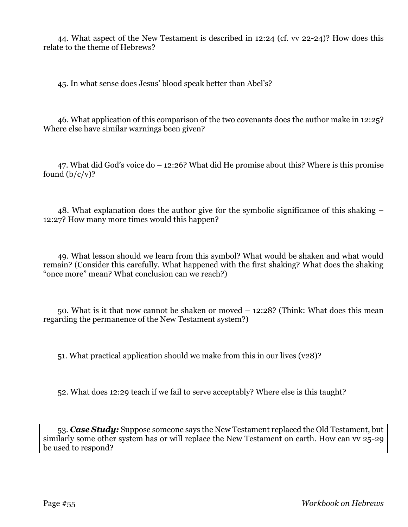44. What aspect of the New Testament is described in 12:24 (cf. vv 22-24)? How does this relate to the theme of Hebrews?

45. In what sense does Jesus' blood speak better than Abel's?

46. What application of this comparison of the two covenants does the author make in 12:25? Where else have similar warnings been given?

47. What did God's voice do – 12:26? What did He promise about this? Where is this promise found  $(b/c/v)$ ?

48. What explanation does the author give for the symbolic significance of this shaking – 12:27? How many more times would this happen?

49. What lesson should we learn from this symbol? What would be shaken and what would remain? (Consider this carefully. What happened with the first shaking? What does the shaking "once more" mean? What conclusion can we reach?)

50. What is it that now cannot be shaken or moved – 12:28? (Think: What does this mean regarding the permanence of the New Testament system?)

51. What practical application should we make from this in our lives (v28)?

52. What does 12:29 teach if we fail to serve acceptably? Where else is this taught?

53. *Case Study:* Suppose someone says the New Testament replaced the Old Testament, but similarly some other system has or will replace the New Testament on earth. How can vv 25-29 be used to respond?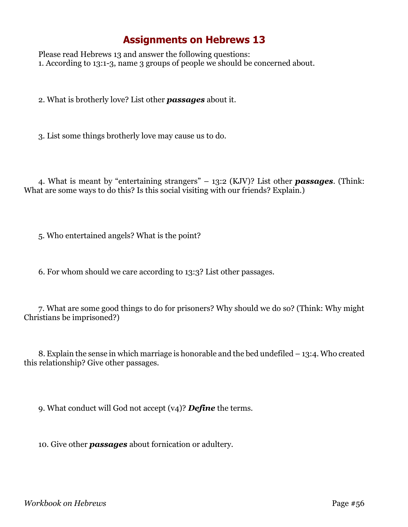Please read Hebrews 13 and answer the following questions: 1. According to 13:1-3, name 3 groups of people we should be concerned about.

2. What is brotherly love? List other *passages* about it.

3. List some things brotherly love may cause us to do.

4. What is meant by "entertaining strangers" – 13:2 (KJV)? List other *passages*. (Think: What are some ways to do this? Is this social visiting with our friends? Explain.)

5. Who entertained angels? What is the point?

6. For whom should we care according to 13:3? List other passages.

7. What are some good things to do for prisoners? Why should we do so? (Think: Why might Christians be imprisoned?)

8. Explain the sense in which marriage is honorable and the bed undefiled – 13:4. Who created this relationship? Give other passages.

9. What conduct will God not accept (v4)? *Define* the terms.

10. Give other *passages* about fornication or adultery.

*Workbook on Hebrews* Page #56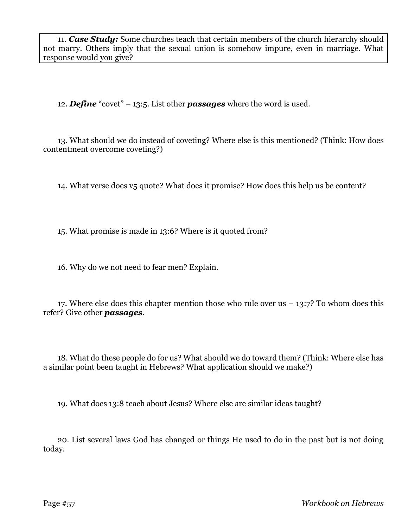11. *Case Study:* Some churches teach that certain members of the church hierarchy should not marry. Others imply that the sexual union is somehow impure, even in marriage. What response would you give?

12. *Define* "covet" – 13:5. List other *passages* where the word is used.

13. What should we do instead of coveting? Where else is this mentioned? (Think: How does contentment overcome coveting?)

14. What verse does v5 quote? What does it promise? How does this help us be content?

15. What promise is made in 13:6? Where is it quoted from?

16. Why do we not need to fear men? Explain.

17. Where else does this chapter mention those who rule over us  $-13:7$ ? To whom does this refer? Give other *passages*.

18. What do these people do for us? What should we do toward them? (Think: Where else has a similar point been taught in Hebrews? What application should we make?)

19. What does 13:8 teach about Jesus? Where else are similar ideas taught?

20. List several laws God has changed or things He used to do in the past but is not doing today.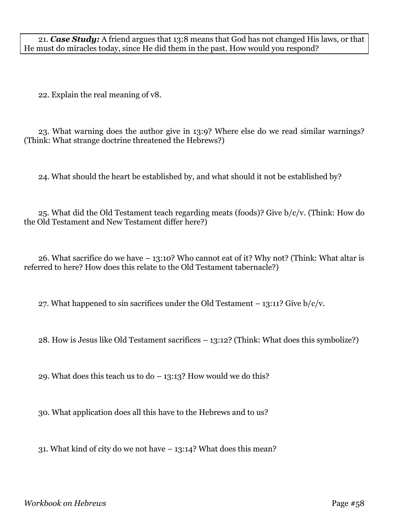21. *Case Study:* A friend argues that 13:8 means that God has not changed His laws, or that He must do miracles today, since He did them in the past. How would you respond?

22. Explain the real meaning of v8.

23. What warning does the author give in 13:9? Where else do we read similar warnings? (Think: What strange doctrine threatened the Hebrews?)

24. What should the heart be established by, and what should it not be established by?

25. What did the Old Testament teach regarding meats (foods)? Give b/c/v. (Think: How do the Old Testament and New Testament differ here?)

26. What sacrifice do we have – 13:10? Who cannot eat of it? Why not? (Think: What altar is referred to here? How does this relate to the Old Testament tabernacle?)

27. What happened to sin sacrifices under the Old Testament  $-13:11$ ? Give  $b/c/v$ .

28. How is Jesus like Old Testament sacrifices – 13:12? (Think: What does this symbolize?)

29. What does this teach us to  $d_0 - 13:13$ ? How would we do this?

30. What application does all this have to the Hebrews and to us?

31. What kind of city do we not have – 13:14? What does this mean?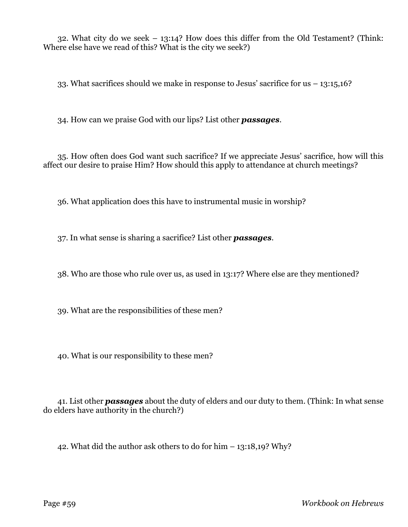32. What city do we seek – 13:14? How does this differ from the Old Testament? (Think: Where else have we read of this? What is the city we seek?)

33. What sacrifices should we make in response to Jesus' sacrifice for us – 13:15,16?

34. How can we praise God with our lips? List other *passages*.

35. How often does God want such sacrifice? If we appreciate Jesus' sacrifice, how will this affect our desire to praise Him? How should this apply to attendance at church meetings?

36. What application does this have to instrumental music in worship?

37. In what sense is sharing a sacrifice? List other *passages*.

38. Who are those who rule over us, as used in 13:17? Where else are they mentioned?

39. What are the responsibilities of these men?

40. What is our responsibility to these men?

41. List other *passages* about the duty of elders and our duty to them. (Think: In what sense do elders have authority in the church?)

42. What did the author ask others to do for him – 13:18,19? Why?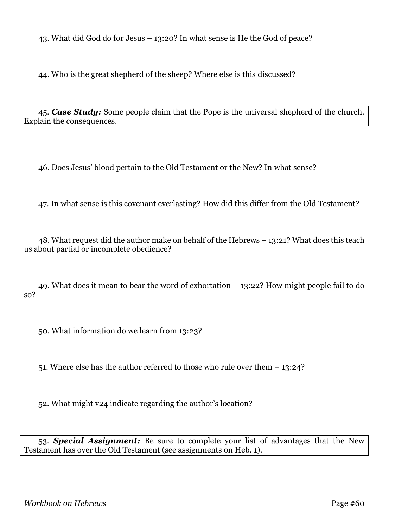43. What did God do for Jesus – 13:20? In what sense is He the God of peace?

44. Who is the great shepherd of the sheep? Where else is this discussed?

45. *Case Study:* Some people claim that the Pope is the universal shepherd of the church. Explain the consequences.

46. Does Jesus' blood pertain to the Old Testament or the New? In what sense?

47. In what sense is this covenant everlasting? How did this differ from the Old Testament?

48. What request did the author make on behalf of the Hebrews – 13:21? What does this teach us about partial or incomplete obedience?

49. What does it mean to bear the word of exhortation – 13:22? How might people fail to do so?

50. What information do we learn from 13:23?

51. Where else has the author referred to those who rule over them – 13:24?

52. What might v24 indicate regarding the author's location?

53. *Special Assignment:* Be sure to complete your list of advantages that the New Testament has over the Old Testament (see assignments on Heb. 1).